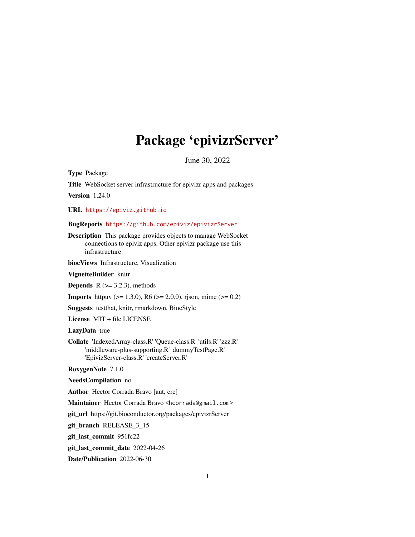# Package 'epivizrServer'

June 30, 2022

<span id="page-0-0"></span>Type Package

Title WebSocket server infrastructure for epivizr apps and packages

Version 1.24.0

URL <https://epiviz.github.io>

BugReports <https://github.com/epiviz/epivizrServer>

Description This package provides objects to manage WebSocket connections to epiviz apps. Other epivizr package use this infrastructure.

biocViews Infrastructure, Visualization

VignetteBuilder knitr

**Depends** R  $(>= 3.2.3)$ , methods

**Imports** httpuv ( $>= 1.3.0$ ), R6 ( $>= 2.0.0$ ), rjson, mime ( $>= 0.2$ )

Suggests testthat, knitr, rmarkdown, BiocStyle

License MIT + file LICENSE

LazyData true

Collate 'IndexedArray-class.R' 'Queue-class.R' 'utils.R' 'zzz.R' 'middleware-plus-supporting.R' 'dummyTestPage.R' 'EpivizServer-class.R' 'createServer.R'

RoxygenNote 7.1.0

NeedsCompilation no

Author Hector Corrada Bravo [aut, cre]

Maintainer Hector Corrada Bravo <hcorrada@gmail.com>

git\_url https://git.bioconductor.org/packages/epivizrServer

git\_branch RELEASE\_3\_15

git\_last\_commit 951fc22

git\_last\_commit\_date 2022-04-26

Date/Publication 2022-06-30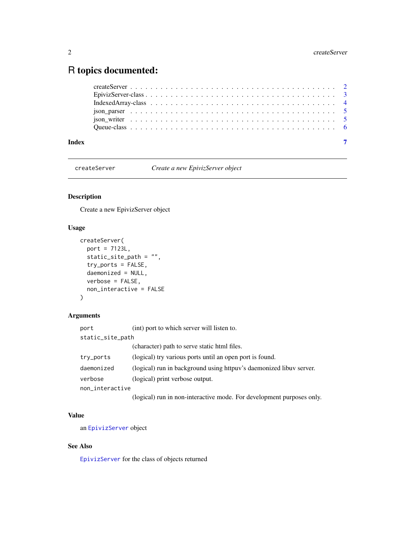## <span id="page-1-0"></span>R topics documented:

createServer *Create a new EpivizServer object*

#### Description

Create a new EpivizServer object

#### Usage

```
createServer(
 port = 7123L,
 static_site_path = "",
  try_ports = FALSE,
 daemonized = NULL,
 verbose = FALSE,
 non_interactive = FALSE
)
```
#### Arguments

| port             | (int) port to which server will listen to.                            |
|------------------|-----------------------------------------------------------------------|
| static_site_path |                                                                       |
|                  | (character) path to serve static html files.                          |
| try_ports        | (logical) try various ports until an open port is found.              |
| daemonized       | (logical) run in background using httpuv's daemonized libuv server.   |
| verbose          | (logical) print verbose output.                                       |
| non_interactive  |                                                                       |
|                  | (logical) run in non-interactive mode. For development purposes only. |

#### Value

an [EpivizServer](#page-2-1) object

#### See Also

[EpivizServer](#page-2-1) for the class of objects returned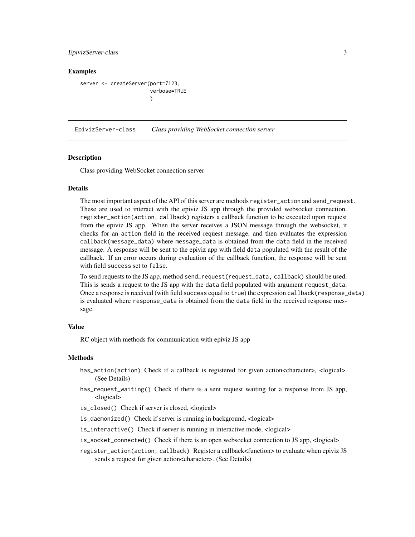#### <span id="page-2-0"></span>EpivizServer-class 3

#### Examples

```
server <- createServer(port=7123,
                       verbose=TRUE
                       )
```
EpivizServer-class *Class providing WebSocket connection server*

#### <span id="page-2-1"></span>**Description**

Class providing WebSocket connection server

#### Details

The most important aspect of the API of this server are methods register\_action and send\_request. These are used to interact with the epiviz JS app through the provided websocket connection. register\_action(action, callback) registers a callback function to be executed upon request from the epiviz JS app. When the server receives a JSON message through the websocket, it checks for an action field in the received request message, and then evaluates the expression callback(message\_data) where message\_data is obtained from the data field in the received message. A response will be sent to the epiviz app with field data populated with the result of the callback. If an error occurs during evaluation of the callback function, the response will be sent with field success set to false.

To send requests to the JS app, method send\_request(request\_data, callback) should be used. This is sends a request to the JS app with the data field populated with argument request\_data. Once a response is received (with field success equal to true) the expression callback(response\_data) is evaluated where response\_data is obtained from the data field in the received response message.

#### Value

RC object with methods for communication with epiviz JS app

#### Methods

- has\_action(action) Check if a callback is registered for given action<character>, <logical>. (See Details)
- has\_request\_waiting() Check if there is a sent request waiting for a response from JS app, <logical>

is\_closed() Check if server is closed, <logical>

- is\_daemonized() Check if server is running in background, <logical>
- is\_interactive() Check if server is running in interactive mode, <logical>
- is\_socket\_connected() Check if there is an open websocket connection to JS app, <logical>
- register\_action(action, callback) Register a callback<function> to evaluate when epiviz JS sends a request for given action<character>. (See Details)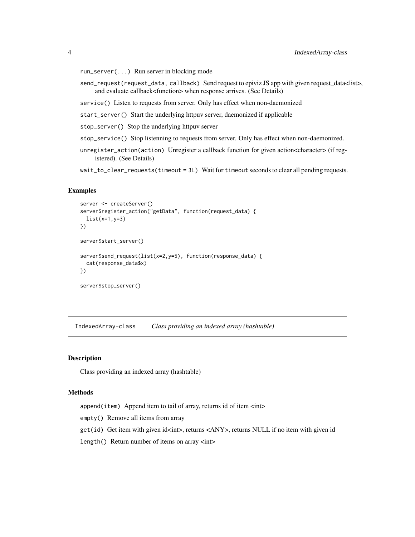```
run_server(...) Run server in blocking mode
```
- send\_request(request\_data, callback) Send request to epiviz JS app with given request\_data<list>, and evaluate callback<function> when response arrives. (See Details)
- service() Listen to requests from server. Only has effect when non-daemonized
- start\_server() Start the underlying httpuv server, daemonized if applicable
- stop\_server() Stop the underlying httpuv server
- stop\_service() Stop listenning to requests from server. Only has effect when non-daemonized.
- unregister\_action(action) Unregister a callback function for given action<character> (if registered). (See Details)
- wait\_to\_clear\_requests(timeout = 3L) Wait for timeout seconds to clear all pending requests.

#### Examples

```
server <- createServer()
server$register_action("getData", function(request_data) {
 list(x=1, y=3)})
server$start_server()
server$send_request(list(x=2,y=5), function(response_data) {
 cat(response_data$x)
})
server$stop_server()
```
IndexedArray-class *Class providing an indexed array (hashtable)*

#### Description

Class providing an indexed array (hashtable)

#### **Methods**

append(item) Append item to tail of array, returns id of item <int>

empty() Remove all items from array

 $get(id)$  Get item with given id<int>, returns <ANY>, returns NULL if no item with given id

length() Return number of items on array <int>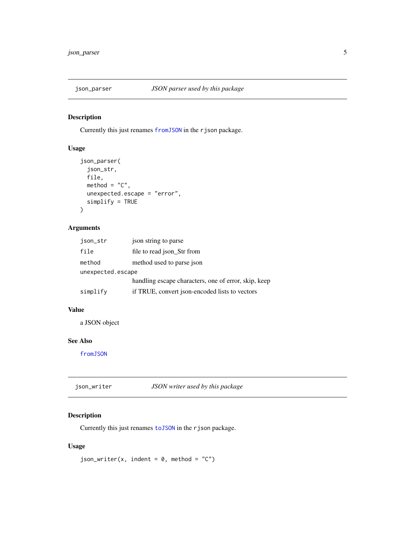<span id="page-4-0"></span>

#### Description

Currently this just renames [fromJSON](#page-0-0) in the rjson package.

#### Usage

```
json_parser(
  json_str,
 file,
 \text{method} = "C",unexpected.escape = "error",
  simplify = TRUE
)
```
#### Arguments

| json_str          | json string to parse                                 |
|-------------------|------------------------------------------------------|
| file              | file to read json_Str from                           |
| method            | method used to parse json                            |
| unexpected.escape |                                                      |
|                   | handling escape characters, one of error, skip, keep |
| simplify          | if TRUE, convert json-encoded lists to vectors       |

#### Value

a JSON object

#### See Also

[fromJSON](#page-0-0)

json\_writer *JSON writer used by this package*

#### Description

Currently this just renames [toJSON](#page-0-0) in the rjson package.

#### Usage

json\_writer(x, indent =  $0$ , method = "C")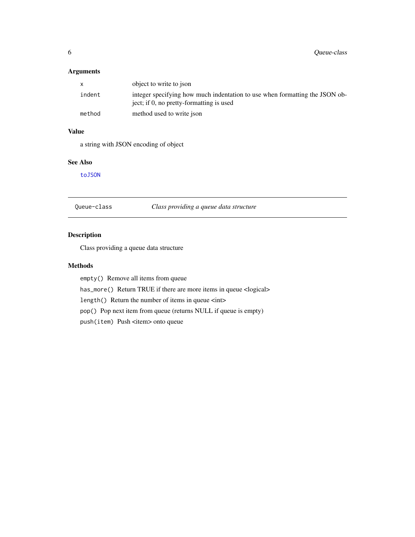#### <span id="page-5-0"></span>Arguments

| $\mathsf{x}$ | object to write to json                                                                                                 |
|--------------|-------------------------------------------------------------------------------------------------------------------------|
| indent       | integer specifying how much indentation to use when formatting the JSON ob-<br>ject; if 0, no pretty-formatting is used |
| method       | method used to write json                                                                                               |

### Value

a string with JSON encoding of object

#### See Also

[toJSON](#page-0-0)

#### Queue-class *Class providing a queue data structure*

#### Description

Class providing a queue data structure

#### Methods

empty() Remove all items from queue

has\_more() Return TRUE if there are more items in queue <logical>

length() Return the number of items in queue <int>

pop() Pop next item from queue (returns NULL if queue is empty)

push(item) Push <item> onto queue